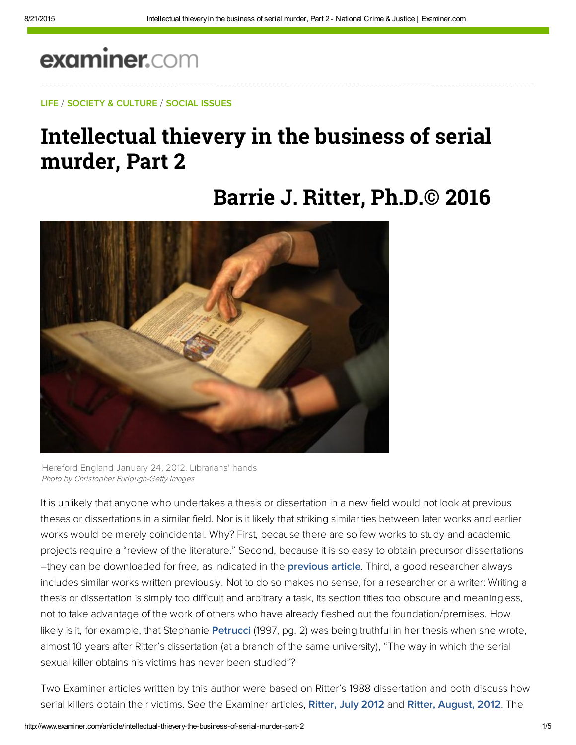# examiner.com

#### LIFE / SOCIETY & CULTURE / SOCIAL ISSUES

### Intellectual thievery in the business of serial murder, Part 2

## **Barrie J. Ritter, Ph.D.© 2016**



Hereford England January 24, 2012. Librarians' hands Photo by Christopher Furlough-Getty Images

It is unlikely that anyone who undertakes a thesis or dissertation in a new field would not look at previous theses or dissertations in a similar field. Nor is it likely that striking similarities between later works and earlier works would be merely coincidental. Why? First, because there are so few works to study and academic projects require a "review of the literature." Second, because it is so easy to obtain precursor dissertations –they can be downloaded for free, as indicated in the [previous article](http://www.ritterhomicideresearch.com/articles/Intellectual-thievery-in-the-business-of-serial-murder.pdf). Third, a good researcher always includes similar works written previously. Not to do so makes no sense, for a researcher or a writer: Writing a thesis or dissertation is simply too difficult and arbitrary a task, its section titles too obscure and meaningless, not to take advantage of the work of others who have already fleshed out the foundation/premises. How likely is it, for example, that Stephanie [Petrucci](https://link.springer.com/article/10.1007/BF02885707) (1997, pg. 2) was being truthful in her thesis when she wrote, almost 10 years after Ritter's dissertation (at a branch of the same university), "The way in which the serial sexual killer obtains his victims has never been studied"?

Two Examiner articles written by this author were based on Ritter's 1988 dissertation and both discuss how serial killers obtain their victims. See the Examiner articles, [Ritter, July 2012](http://www.ritterhomicideresearch.com/articles/Intellectual-thievery-in-the-business-of-serial-murder_Part-15.pdf) and [Ritter, August, 2012.](http://www.ritterhomicideresearch.com/articles/Intellectual-thievery-in-the-business-of-serial-murder_Part-16.pdf) The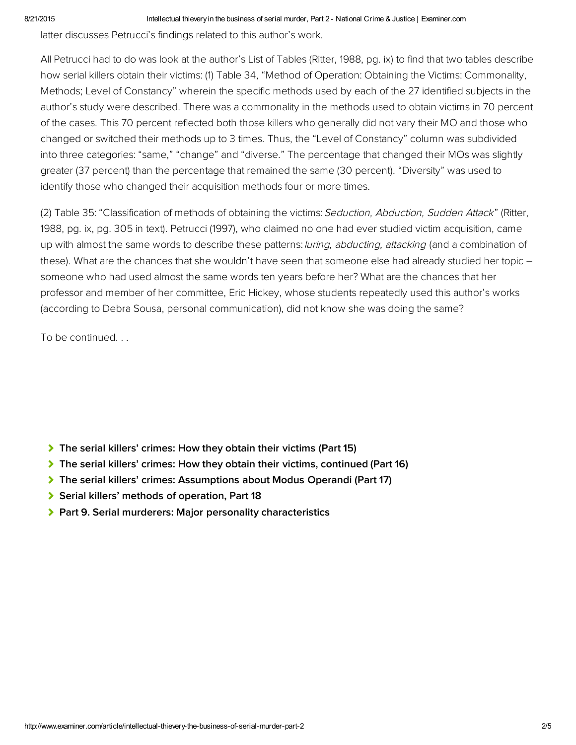#### 8/21/2015 **Intellectual thievery in the business of serial murder, Part 2 - National Crime & Justice | Examiner.com**

latter discusses Petrucci's findings related to this author's work.

All Petrucci had to do was look at the author's List of Tables (Ritter, 1988, pg. ix) to find that two tables describe how serial killers obtain their victims: (1) Table 34, "Method of Operation: Obtaining the Victims: Commonality, Methods; Level of Constancy" wherein the specific methods used by each of the 27 identified subjects in the author's study were described. There was a commonality in the methods used to obtain victims in 70 percent of the cases. This 70 percent reflected both those killers who generally did not vary their MO and those who changed or switched their methods up to 3 times. Thus, the "Level of Constancy" column was subdivided into three categories: "same," "change" and "diverse." The percentage that changed their MOs was slightly greater (37 percent) than the percentage that remained the same (30 percent). "Diversity" was used to identify those who changed their acquisition methods four or more times.

(2) Table 35: "Classification of methods of obtaining the victims: Seduction, Abduction, Sudden Attack" (Ritter, 1988, pg. ix, pg. 305 in text). Petrucci (1997), who claimed no one had ever studied victim acquisition, came up with almost the same words to describe these patterns: luring, abducting, attacking (and a combination of these). What are the chances that she wouldn't have seen that someone else had already studied her topic – someone who had used almost the same words ten years before her? What are the chances that her professor and member of her committee, Eric Hickey, whose students repeatedly used this author's works (according to Debra Sousa, personal communication), did not know she was doing the same?

To be continued. . .

- [The serial killers' crimes: How they obtain their victims \(Part 15\)](http://www.ritterhomicideresearch.com/articles/Intellectual-thievery-in-the-business-of-serial-murder_Part-15.pdf)
- [The serial killers' crimes: How they obtain their victims, continued \(Part 16\)](http://www.ritterhomicideresearch.com/articles/Intellectual-thievery-in-the-business-of-serial-murder_Part-16.pdf)
- [The serial killers' crimes: Assumptions about Modus Operandi \(Part 17\)](http://www.ritterhomicideresearch.com/articles/Intellectual-thievery-in-the-business-of-serial-murder_Part-17.pdf)
- [Serial killers' methods of operation, Part 18](http://www.ritterhomicideresearch.com/articles/Intellectual-thievery-in-the-business-of-serial-murder_Part-18.pdf)
- ▶ [Part 9. Serial murderers: Major personality characteristics](http://www.ritterhomicideresearch.com/articles/Part-9.pdf)